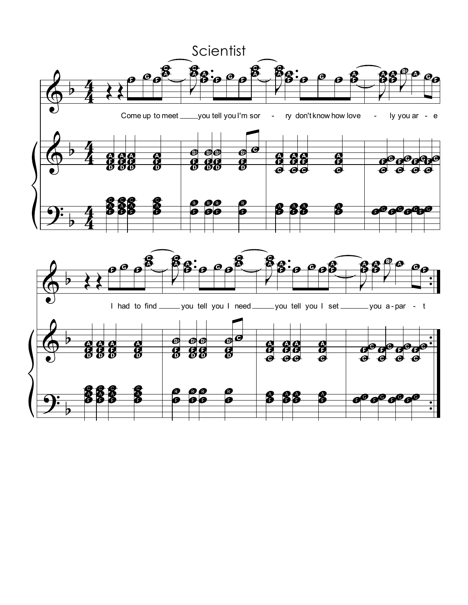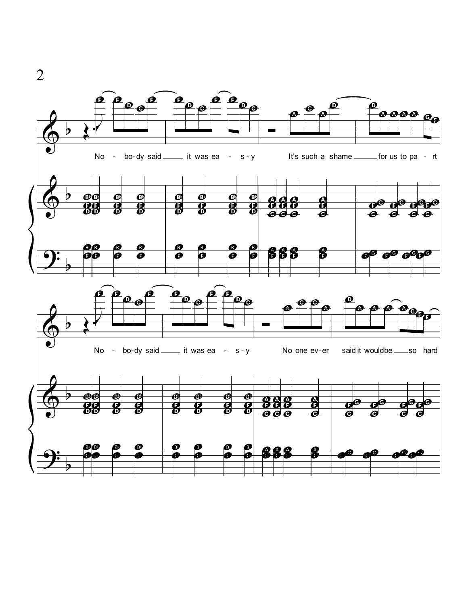

2